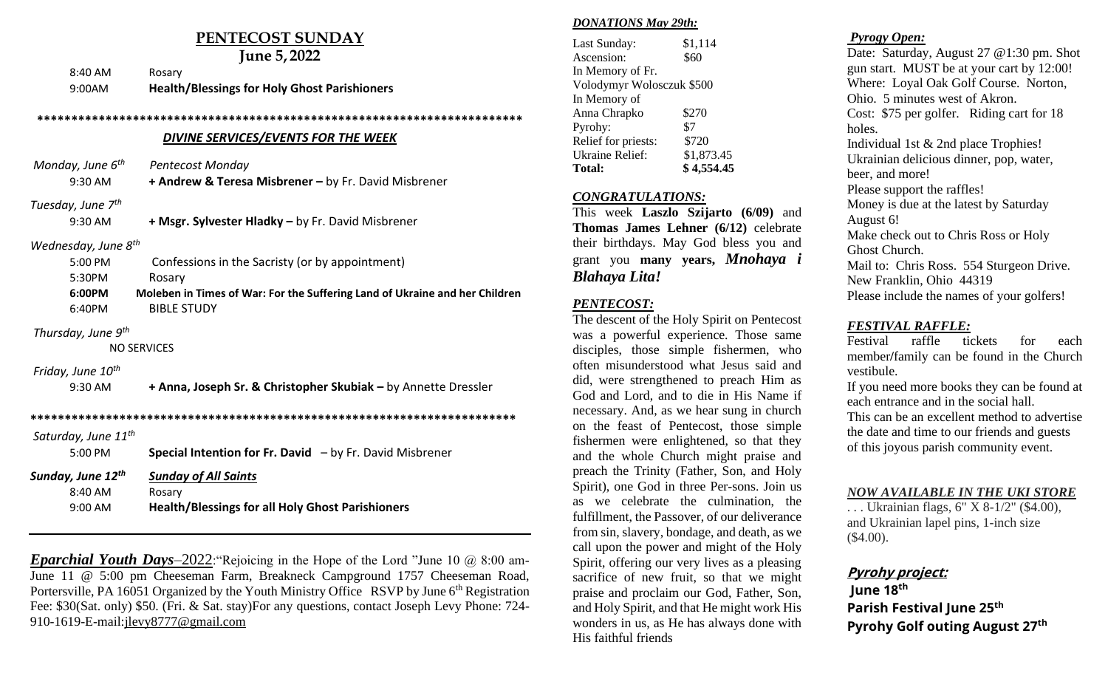# **PENTECOST SUNDAY**

|                                 | June 5, 2022                                                                |
|---------------------------------|-----------------------------------------------------------------------------|
| 8:40 AM                         | Rosary                                                                      |
| 9:00AM                          | <b>Health/Blessings for Holy Ghost Parishioners</b>                         |
|                                 |                                                                             |
|                                 | DIVINE SERVICES/EVENTS FOR THE WEEK                                         |
| Monday, June 6 <sup>th</sup>    | <b>Pentecost Monday</b>                                                     |
| 9:30 AM                         | + Andrew & Teresa Misbrener - by Fr. David Misbrener                        |
| Tuesday, June 7 <sup>th</sup>   |                                                                             |
| 9:30 AM                         | + Msgr. Sylvester Hladky - by Fr. David Misbrener                           |
| Wednesday, June 8 <sup>th</sup> |                                                                             |
| 5:00 PM                         | Confessions in the Sacristy (or by appointment)                             |
| 5:30PM                          | Rosary                                                                      |
| 6:00PM                          | Moleben in Times of War: For the Suffering Land of Ukraine and her Children |
| 6:40PM                          | <b>BIBLE STUDY</b>                                                          |
| Thursday, June 9 <sup>th</sup>  |                                                                             |
|                                 | <b>NO SERVICES</b>                                                          |
| Friday, June 10 <sup>th</sup>   |                                                                             |
| 9:30 AM                         | + Anna, Joseph Sr. & Christopher Skubiak - by Annette Dressler              |
|                                 |                                                                             |
| Saturday, June 11 <sup>th</sup> |                                                                             |
| 5:00 PM                         | <b>Special Intention for Fr. David</b> $-$ by Fr. David Misbrener           |
| Sunday, June 12th               | <b>Sunday of All Saints</b>                                                 |
| 8:40 AM                         | Rosary                                                                      |
| 9:00 AM                         | <b>Health/Blessings for all Holy Ghost Parishioners</b>                     |

*Eparchial Youth Days*–2022:"Rejoicing in the Hope of the Lord "June 10 @ 8:00 am-June 11 @ 5:00 pm Cheeseman Farm, Breakneck Campground 1757 Cheeseman Road, Portersville, PA 16051 Organized by the Youth Ministry Office RSVP by June 6<sup>th</sup> Registration Fee: \$30(Sat. only) \$50. (Fri. & Sat. stay)For any questions, contact Joseph Levy Phone: 724- 910-1619-E-mail[:jlevy8777@gmail.com](mailto:jlevy8777@gmail.com)

#### *DONATIONS May 29th:*

| \$1,114                   |  |  |
|---------------------------|--|--|
| \$60                      |  |  |
|                           |  |  |
| Volodymyr Wolosczuk \$500 |  |  |
|                           |  |  |
| \$270                     |  |  |
| \$7                       |  |  |
| \$720                     |  |  |
| \$1,873.45                |  |  |
| \$4,554.45                |  |  |
|                           |  |  |

#### *CONGRATULATIONS:*

This week **Laszlo Szijarto (6/09)** and **Thomas James Lehner (6/12)** celebrate their birthdays. May God bless you and grant you **many years,** *Mnohaya i Blahaya Lita!*

### *PENTECOST:*

The descent of the Holy Spirit on Pentecost was a powerful experience. Those same disciples, those simple fishermen, who often misunderstood what Jesus said and did, were strengthened to preach Him as God and Lord, and to die in His Name if necessary. And, as we hear sung in church on the feast of Pentecost, those simple fishermen were enlightened, so that they and the whole Church might praise and preach the Trinity (Father, Son, and Holy Spirit), one God in three Per-sons. Join us as we celebrate the culmination, the fulfillment, the Passover, of our deliverance from sin, slavery, bondage, and death, as we call upon the power and might of the Holy Spirit, offering our very lives as a pleasing sacrifice of new fruit, so that we might praise and proclaim our God, Father, Son, and Holy Spirit, and that He might work His wonders in us, as He has always done with His faithful friends

### *Pyrogy Open:*

Date: Saturday, August 27 @1:30 pm. Shot gun start. MUST be at your cart by 12:00! Where: Loyal Oak Golf Course. Norton, Ohio. 5 minutes west of Akron. Cost: \$75 per golfer. Riding cart for 18 holes. Individual 1st & 2nd place Trophies! Ukrainian delicious dinner, pop, water, beer, and more! Please support the raffles! Money is due at the latest by Saturday August 6! Make check out to Chris Ross or Holy Ghost Church. Mail to: Chris Ross. 554 Sturgeon Drive. New Franklin, Ohio 44319 Please include the names of your golfers!

### *FESTIVAL RAFFLE:*

Festival raffle tickets for each member**/**family can be found in the Church vestibule.

If you need more books they can be found at each entrance and in the social hall. This can be an excellent method to advertise the date and time to our friends and guests of this joyous parish community event.

#### *NOW AVAILABLE IN THE UKI STORE*

. . . Ukrainian flags, 6" X 8-1/2" (\$4.00), and Ukrainian lapel pins, 1-inch size (\$4.00).

## **Pyrohy project:**

June 18th **Parish Festival June 25th** Pyrohy Golf outing August 27<sup>th</sup>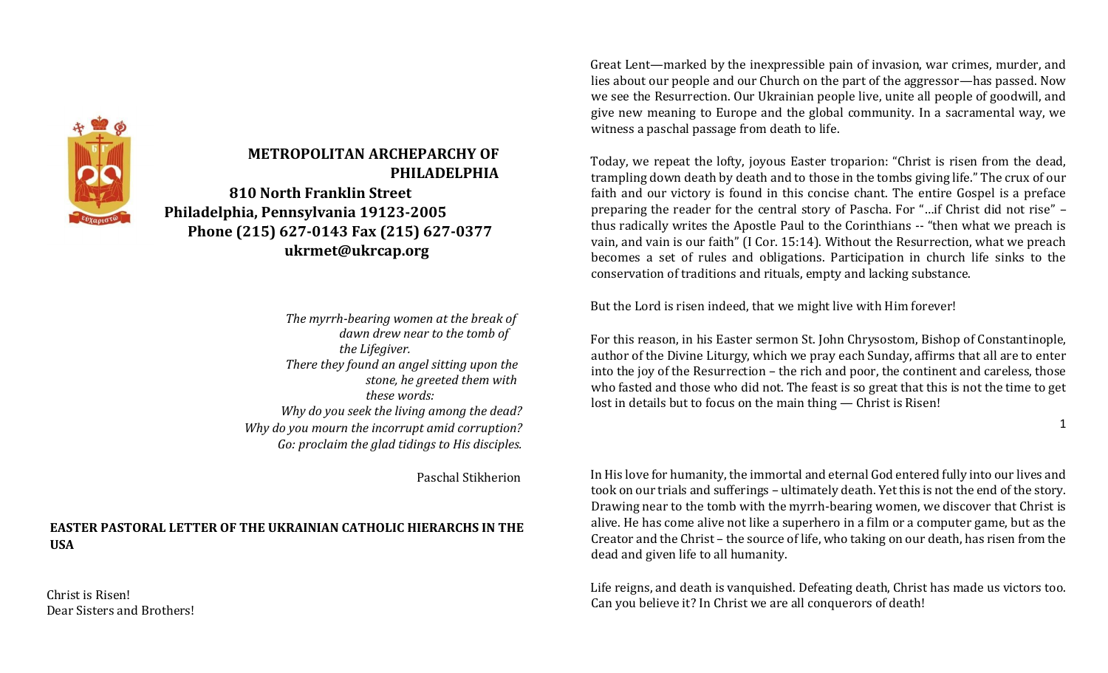

# **METROPOLITAN ARCHEPARCHY OF PHILADELPHIA 810 North Franklin Street**

**Philadelphia, Pennsylvania 19123-2005 Phone (215) 627-0143 Fax (215) 627-0377 ukrmet@ukrcap.org** 

> *The myrrh-bearing women at the break of dawn drew near to the tomb of the Lifegiver. There they found an angel sitting upon the stone, he greeted them with these words: Why do you seek the living among the dead? Why do you mourn the incorrupt amid corruption? Go: proclaim the glad tidings to His disciples.*

> > Paschal Stikherion

### **EASTER PASTORAL LETTER OF THE UKRAINIAN CATHOLIC HIERARCHS IN THE USA**

Christ is Risen! Dear Sisters and Brothers! Great Lent—marked by the inexpressible pain of invasion, war crimes, murder, and lies about our people and our Church on the part of the aggressor—has passed. Now we see the Resurrection. Our Ukrainian people live, unite all people of goodwill, and give new meaning to Europe and the global community. In a sacramental way, we witness a paschal passage from death to life.

Today, we repeat the lofty, joyous Easter troparion: "Christ is risen from the dead, trampling down death by death and to those in the tombs giving life." The crux of our faith and our victory is found in this concise chant. The entire Gospel is a preface preparing the reader for the central story of Pascha. For "…if Christ did not rise" – thus radically writes the Apostle Paul to the Corinthians -- "then what we preach is vain, and vain is our faith" (I Cor. 15:14). Without the Resurrection, what we preach becomes a set of rules and obligations. Participation in church life sinks to the conservation of traditions and rituals, empty and lacking substance.

But the Lord is risen indeed, that we might live with Him forever!

For this reason, in his Easter sermon St. John Chrysostom, Bishop of Constantinople, author of the Divine Liturgy, which we pray each Sunday, affirms that all are to enter into the joy of the Resurrection – the rich and poor, the continent and careless, those who fasted and those who did not. The feast is so great that this is not the time to get lost in details but to focus on the main thing — Christ is Risen!

1

In His love for humanity, the immortal and eternal God entered fully into our lives and took on our trials and sufferings – ultimately death. Yet this is not the end of the story. Drawing near to the tomb with the myrrh-bearing women, we discover that Christ is alive. He has come alive not like a superhero in a film or a computer game, but as the Creator and the Christ – the source of life, who taking on our death, has risen from the dead and given life to all humanity.

Life reigns, and death is vanquished. Defeating death, Christ has made us victors too. Can you believe it? In Christ we are all conquerors of death!